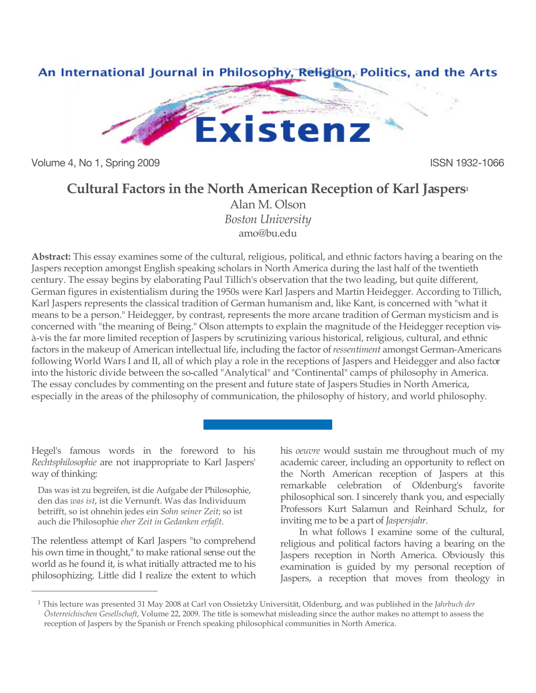

Volume 4, No 1, Spring 2009 **ISSN 1932-1066** 

# **Cultural Factors in the North American Reception of Karl Jaspers1**

Alan M. Olson *Boston University* amo@bu.edu

**Abstract:** This essay examines some of the cultural, religious, political, and ethnic factors having a bearing on the Jaspers reception amongst English speaking scholars in North America during the last half of the twentieth century. The essay begins by elaborating Paul Tillich's observation that the two leading, but quite different, German figures in existentialism during the 1950s were Karl Jaspers and Martin Heidegger. According to Tillich, Karl Jaspers represents the classical tradition of German humanism and, like Kant, is concerned with "what it means to be a person." Heidegger, by contrast, represents the more arcane tradition of German mysticism and is concerned with "the meaning of Being." Olson attempts to explain the magnitude of the Heidegger reception visà-vis the far more limited reception of Jaspers by scrutinizing various historical, religious, cultural, and ethnic factors in the makeup of American intellectual life, including the factor of *ressentiment* amongst German-Americans following World Wars I and II, all of which play a role in the receptions of Jaspers and Heidegger and also factor into the historic divide between the so-called "Analytical" and "Continental" camps of philosophy in America. The essay concludes by commenting on the present and future state of Jaspers Studies in North America, especially in the areas of the philosophy of communication, the philosophy of history, and world philosophy.

Hegel's famous words in the foreword to his *Rechtsphilosophie* are not inappropriate to Karl Jaspers' way of thinking:

Das was ist zu begreifen, ist die Aufgabe der Philosophie, den das *was ist*, ist die Vernunft. Was das Individuum betrifft, so ist ohnehin jedes ein *Sohn seiner Zeit*; so ist auch die Philosophie *eher Zeit in Gedanken erfaßt*.

The relentless attempt of Karl Jaspers "to comprehend his own time in thought," to make rational sense out the world as he found it, is what initially attracted me to his philosophizing. Little did I realize the extent to which

 $\overline{a}$ 

his *oeuvre* would sustain me throughout much of my academic career, including an opportunity to reflect on the North American reception of Jaspers at this remarkable celebration of Oldenburg's favorite philosophical son. I sincerely thank you, and especially Professors Kurt Salamun and Reinhard Schulz, for inviting me to be a part of *Jaspersjahr*.

In what follows I examine some of the cultural, religious and political factors having a bearing on the Jaspers reception in North America. Obviously this examination is guided by my personal reception of Jaspers, a reception that moves from theology in

<sup>1</sup> This lecture was presented 31 May 2008 at Carl von Ossietzky Universität, Oldenburg, and was published in the *Jahrbuch der Österreichischen Gesellschaft*, Volume 22, 2009. The title is somewhat misleading since the author makes no attempt to assess the reception of Jaspers by the Spanish or French speaking philosophical communities in North America.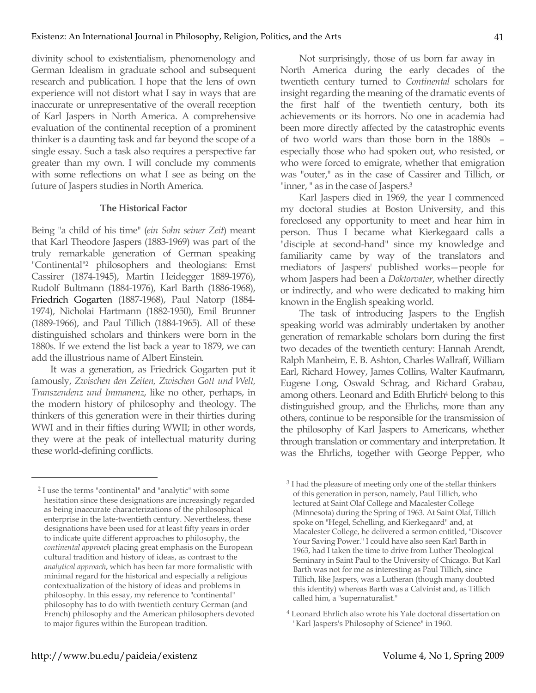divinity school to existentialism, phenomenology and German Idealism in graduate school and subsequent research and publication. I hope that the lens of own experience will not distort what I say in ways that are inaccurate or unrepresentative of the overall reception of Karl Jaspers in North America. A comprehensive evaluation of the continental reception of a prominent thinker is a daunting task and far beyond the scope of a single essay. Such a task also requires a perspective far greater than my own. I will conclude my comments with some reflections on what I see as being on the future of Jaspers studies in North America.

#### **The Historical Factor**

Being "a child of his time" (*ein Sohn seiner Zeit*) meant that Karl Theodore Jaspers (1883-1969) was part of the truly remarkable generation of German speaking "Continental"2 philosophers and theologians: Ernst Cassirer (1874-1945), Martin Heidegger 1889-1976), Rudolf Bultmann (1884-1976), Karl Barth (1886-1968), Friedrich Gogarten (1887-1968), Paul Natorp (1884- 1974), Nicholai Hartmann (1882-1950), Emil Brunner (1889-1966), and Paul Tillich (1884-1965). All of these distinguished scholars and thinkers were born in the 1880s. If we extend the list back a year to 1879, we can add the illustrious name of Albert Einstein.

It was a generation, as Friedrick Gogarten put it famously, *Zwischen den Zeiten, Zwischen Gott und Welt, Transzendenz und Immanenz*, like no other, perhaps, in the modern history of philosophy and theology. The thinkers of this generation were in their thirties during WWI and in their fifties during WWII; in other words, they were at the peak of intellectual maturity during these world-defining conflicts.

Not surprisingly, those of us born far away in North America during the early decades of the twentieth century turned to *Continental* scholars for insight regarding the meaning of the dramatic events of the first half of the twentieth century, both its achievements or its horrors. No one in academia had been more directly affected by the catastrophic events of two world wars than those born in the 1880s – especially those who had spoken out, who resisted, or who were forced to emigrate, whether that emigration was "outer," as in the case of Cassirer and Tillich, or "inner, " as in the case of Jaspers.3

Karl Jaspers died in 1969, the year I commenced my doctoral studies at Boston University, and this foreclosed any opportunity to meet and hear him in person. Thus I became what Kierkegaard calls a "disciple at second-hand" since my knowledge and familiarity came by way of the translators and mediators of Jaspers' published works—people for whom Jaspers had been a *Doktorvater*, whether directly or indirectly, and who were dedicated to making him known in the English speaking world.

The task of introducing Jaspers to the English speaking world was admirably undertaken by another generation of remarkable scholars born during the first two decades of the twentieth century: Hannah Arendt, Ralph Manheim, E. B. Ashton, Charles Wallraff, William Earl, Richard Howey, James Collins, Walter Kaufmann, Eugene Long, Oswald Schrag, and Richard Grabau, among others. Leonard and Edith Ehrlich<sup>4</sup> belong to this distinguished group, and the Ehrlichs, more than any others, continue to be responsible for the transmission of the philosophy of Karl Jaspers to Americans, whether through translation or commentary and interpretation. It was the Ehrlichs, together with George Pepper, who

 $\overline{a}$ 

<sup>2</sup> I use the terms "continental" and "analytic" with some hesitation since these designations are increasingly regarded as being inaccurate characterizations of the philosophical enterprise in the late-twentieth century. Nevertheless, these designations have been used for at least fifty years in order to indicate quite different approaches to philosophy, the *continental approach* placing great emphasis on the European cultural tradition and history of ideas, as contrast to the *analytical approach*, which has been far more formalistic with minimal regard for the historical and especially a religious contextualization of the history of ideas and problems in philosophy. In this essay, my reference to "continental" philosophy has to do with twentieth century German (and French) philosophy and the American philosophers devoted to major figures within the European tradition.

<sup>&</sup>lt;sup>3</sup> I had the pleasure of meeting only one of the stellar thinkers of this generation in person, namely, Paul Tillich, who lectured at Saint Olaf College and Macalester College (Minnesota) during the Spring of 1963. At Saint Olaf, Tillich spoke on "Hegel, Schelling, and Kierkegaard" and, at Macalester College, he delivered a sermon entitled, "Discover Your Saving Power." I could have also seen Karl Barth in 1963, had I taken the time to drive from Luther Theological Seminary in Saint Paul to the University of Chicago. But Karl Barth was not for me as interesting as Paul Tillich, since Tillich, like Jaspers, was a Lutheran (though many doubted this identity) whereas Barth was a Calvinist and, as Tillich called him, a "supernaturalist."

<sup>4</sup> Leonard Ehrlich also wrote his Yale doctoral dissertation on "Karl Jaspers's Philosophy of Science" in 1960.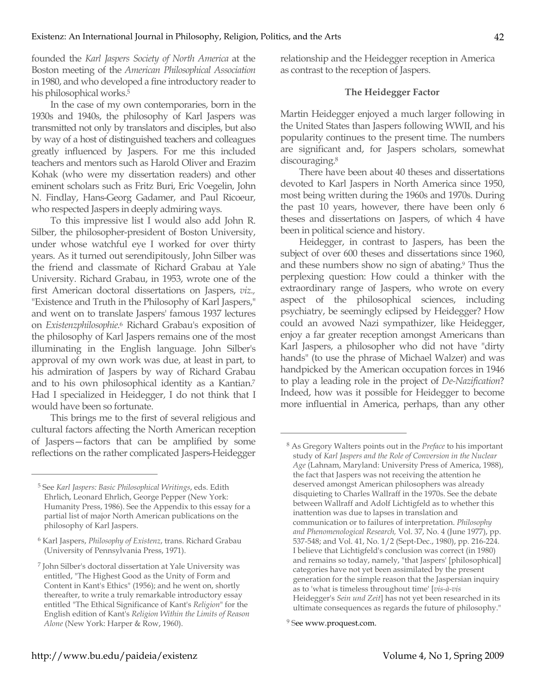founded the *Karl Jaspers Society of North America* at the Boston meeting of the *American Philosophical Association* in 1980, and who developed a fine introductory reader to his philosophical works.5

In the case of my own contemporaries, born in the 1930s and 1940s, the philosophy of Karl Jaspers was transmitted not only by translators and disciples, but also by way of a host of distinguished teachers and colleagues greatly influenced by Jaspers. For me this included teachers and mentors such as Harold Oliver and Erazim Kohak (who were my dissertation readers) and other eminent scholars such as Fritz Buri, Eric Voegelin, John N. Findlay, Hans-Georg Gadamer, and Paul Ricoeur, who respected Jaspers in deeply admiring ways.

To this impressive list I would also add John R. Silber, the philosopher-president of Boston University, under whose watchful eye I worked for over thirty years. As it turned out serendipitously, John Silber was the friend and classmate of Richard Grabau at Yale University. Richard Grabau, in 1953, wrote one of the first American doctoral dissertations on Jaspers, *viz.,* "Existence and Truth in the Philosophy of Karl Jaspers," and went on to translate Jaspers' famous 1937 lectures on *Existenzphilosophie*. <sup>6</sup> Richard Grabau's exposition of the philosophy of Karl Jaspers remains one of the most illuminating in the English language. John Silber's approval of my own work was due, at least in part, to his admiration of Jaspers by way of Richard Grabau and to his own philosophical identity as a Kantian.7 Had I specialized in Heidegger, I do not think that I would have been so fortunate.

This brings me to the first of several religious and cultural factors affecting the North American reception of Jaspers—factors that can be amplified by some reflections on the rather complicated Jaspers-Heidegger

 $\overline{a}$ 

relationship and the Heidegger reception in America as contrast to the reception of Jaspers.

#### **The Heidegger Factor**

Martin Heidegger enjoyed a much larger following in the United States than Jaspers following WWII, and his popularity continues to the present time. The numbers are significant and, for Jaspers scholars, somewhat discouraging.8

There have been about 40 theses and dissertations devoted to Karl Jaspers in North America since 1950, most being written during the 1960s and 1970s. During the past 10 years, however, there have been only 6 theses and dissertations on Jaspers, of which 4 have been in political science and history.

Heidegger, in contrast to Jaspers, has been the subject of over 600 theses and dissertations since 1960, and these numbers show no sign of abating.9 Thus the perplexing question: How could a thinker with the extraordinary range of Jaspers, who wrote on every aspect of the philosophical sciences, including psychiatry, be seemingly eclipsed by Heidegger? How could an avowed Nazi sympathizer, like Heidegger, enjoy a far greater reception amongst Americans than Karl Jaspers, a philosopher who did not have "dirty hands" (to use the phrase of Michael Walzer) and was handpicked by the American occupation forces in 1946 to play a leading role in the project of *De-Nazification*? Indeed, how was it possible for Heidegger to become more influential in America, perhaps, than any other

<sup>5</sup> See *Karl Jaspers: Basic Philosophical Writings*, eds. Edith Ehrlich, Leonard Ehrlich, George Pepper (New York: Humanity Press, 1986). See the Appendix to this essay for a partial list of major North American publications on the philosophy of Karl Jaspers.

<sup>6</sup> Karl Jaspers, *Philosophy of Existenz*, trans. Richard Grabau (University of Pennsylvania Press, 1971).

<sup>7</sup> John Silber's doctoral dissertation at Yale University was entitled, "The Highest Good as the Unity of Form and Content in Kant's Ethics" (1956); and he went on, shortly thereafter, to write a truly remarkable introductory essay entitled "The Ethical Significance of Kant's *Religion*" for the English edition of Kant's *Religion Within the Limits of Reason Alone* (New York: Harper & Row, 1960).

<sup>8</sup> As Gregory Walters points out in the *Preface* to his important study of *Karl Jaspers and the Role of Conversion in the Nuclear Age* (Lahnam, Maryland: University Press of America, 1988), the fact that Jaspers was not receiving the attention he deserved amongst American philosophers was already disquieting to Charles Wallraff in the 1970s. See the debate between Wallraff and Adolf Lichtigfeld as to whether this inattention was due to lapses in translation and communication or to failures of interpretation. *Philosophy and Phenomenological Research,* Vol. 37, No. 4 (June 1977), pp. 537-548; and Vol. 41, No. 1/2 (Sept-Dec., 1980), pp. 216-224. I believe that Lichtigfeld's conclusion was correct (in 1980) and remains so today, namely, "that Jaspers' [philosophical] categories have not yet been assimilated by the present generation for the simple reason that the Jaspersian inquiry as to 'what is timeless throughout time' [*vis-à-vis* Heidegger's *Sein und Zeit*] has not yet been researched in its ultimate consequences as regards the future of philosophy."

<sup>9</sup> See www.proquest.com.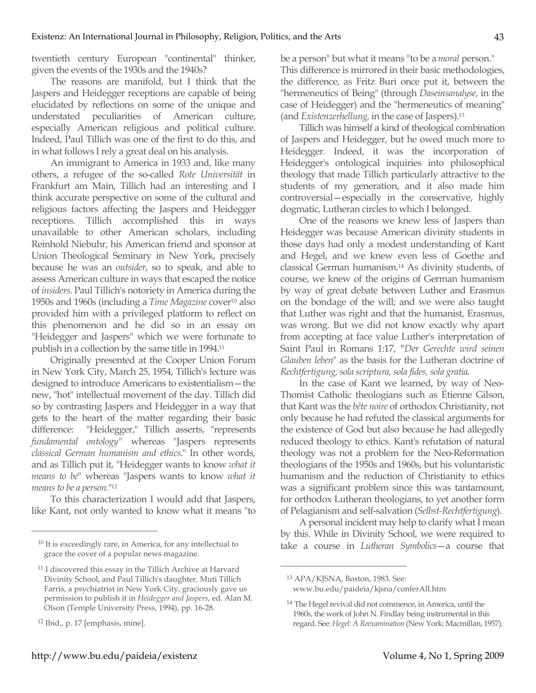twentieth century European "continental" thinker, given the events of the 1930s and the 1940s?

The reasons are manifold, but I think that the Jaspers and Heidegger receptions are capable of being elucidated by reflections on some of the unique and understated peculiarities of American culture, especially American religious and political culture. Indeed, Paul Tillich was one of the first to do this, and in what follows I rely a great deal on his analysis.

An immigrant to America in 1933 and, like many others, a refugee of the so-called *Rote Universität* in Frankfurt am Main, Tillich had an interesting and I think accurate perspective on some of the cultural and religious factors affecting the Jaspers and Heidegger receptions. Tillich accomplished this in ways unavailable to other American scholars, including Reinhold Niebuhr, his American friend and sponsor at Union Theological Seminary in New York, precisely because he was an *outsider*, so to speak, and able to assess American culture in ways that escaped the notice of *insiders*. Paul Tillich's notoriety in America during the 1950s and 1960s (including a *Time Magazine* cover10 also provided him with a privileged platform to reflect on this phenomenon and he did so in an essay on "Heidegger and Jaspers" which we were fortunate to publish in a collection by the same title in 1994.11

Originally presented at the Cooper Union Forum in New York City, March 25, 1954, Tillich's lecture was designed to introduce Americans to existentialism—the new, "hot" intellectual movement of the day. Tillich did so by contrasting Jaspers and Heidegger in a way that gets to the heart of the matter regarding their basic difference: "Heidegger," Tillich asserts, "represents *fundamental ontology"* whereas "Jaspers represents *classical German humanism and ethics.*" In other words, and as Tillich put it, "Heidegger wants to know *what it means to be*" whereas "Jaspers wants to know *what it means to be a person.*"12

To this characterization I would add that Jaspers, like Kant, not only wanted to know what it means "to

 $\overline{a}$ 

be a person" but what it means "to be a *moral* person." This difference is mirrored in their basic methodologies, the difference, as Fritz Buri once put it, between the "hermeneutics of Being" (through *Daseinsanalyse,* in the case of Heidegger) and the "hermeneutics of meaning" (and *Existenzerhellung,* in the case of Jaspers).13

Tillich was himself a kind of theological combination of Jaspers and Heidegger, but he owed much more to Heidegger. Indeed, it was the incorporation of Heidegger's ontological inquiries into philosophical theology that made Tillich particularly attractive to the students of my generation, and it also made him controversial—especially in the conservative, highly dogmatic, Lutheran circles to which I belonged.

One of the reasons we knew less of Jaspers than Heidegger was because American divinity students in those days had only a modest understanding of Kant and Hegel, and we knew even less of Goethe and classical German humanism.14 As divinity students, of course, we knew of the origins of German humanism by way of great debate between Luther and Erasmus on the bondage of the will; and we were also taught that Luther was right and that the humanist, Erasmus, was wrong. But we did not know exactly why apart from accepting at face value Luther's interpretation of Saint Paul in Romans 1:17, *"Der Gerechte wird seinen Glauben leben*" as the basis for the Lutheran doctrine of *Rechtfertigung, sola scriptura, sola fides, sola gratia*.

In the case of Kant we learned, by way of Neo-Thomist Catholic theologians such as Étienne Gilson, that Kant was the *bête noire* of orthodox Christianity, not only because he had refuted the classical arguments for the existence of God but also because he had allegedly reduced theology to ethics. Kant's refutation of natural theology was not a problem for the Neo-Reformation theologians of the 1950s and 1960s, but his voluntaristic humanism and the reduction of Christianity to ethics was a significant problem since this was tantamount, for orthodox Lutheran theologians, to yet another form of Pelagianism and self-salvation (*Selbst-Rechtfertigung*).

A personal incident may help to clarify what I mean by this. While in Divinity School, we were required to take a course in *Lutheran Symbolics*—a course that

<sup>&</sup>lt;sup>10</sup> It is exceedingly rare, in America, for any intellectual to grace the cover of a popular news magazine.

<sup>11</sup> I discovered this essay in the Tillich Archive at Harvard Divinity School, and Paul Tillich's daughter. Muti Tillich Farris, a psychiatrist in New York City, graciously gave us permission to publish it in *Heidegger and Jaspers*, ed. Alan M. Olson (Temple University Press, 1994), pp. 16-28.

<sup>12</sup> Ibid., p. 17 [emphasis, mine].

<sup>13</sup> APA/KJSNA, Boston, 1983. See: www.bu.edu/paideia/kjsna/conferAll.htm

<sup>14</sup> The Hegel revival did not commence, in America, until the 1960s, the work of John N. Findlay being instrumental in this regard. See: *Hegel: A Reexamination* (New York: Macmillan, 1957).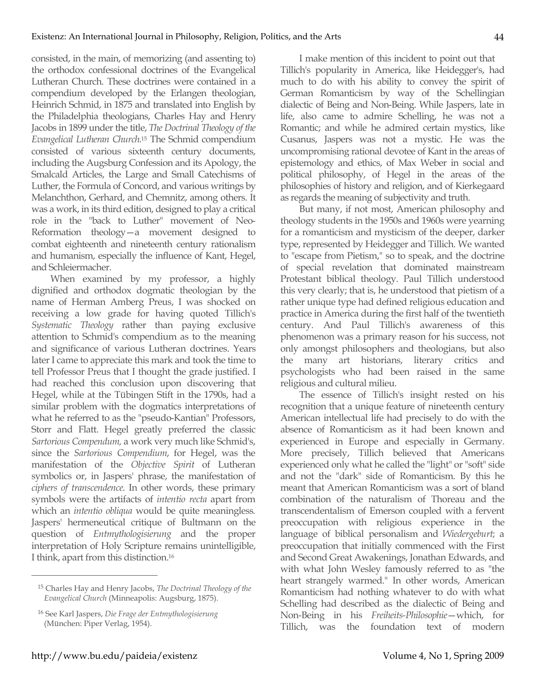consisted, in the main, of memorizing (and assenting to) the orthodox confessional doctrines of the Evangelical Lutheran Church. These doctrines were contained in a compendium developed by the Erlangen theologian, Heinrich Schmid, in 1875 and translated into English by the Philadelphia theologians, Charles Hay and Henry Jacobs in 1899 under the title, *The Doctrinal Theology of the Evangelical Lutheran Church.*15 The Schmid compendium consisted of various sixteenth century documents, including the Augsburg Confession and its Apology, the Smalcald Articles, the Large and Small Catechisms of Luther, the Formula of Concord, and various writings by Melanchthon, Gerhard, and Chemnitz, among others. It was a work, in its third edition, designed to play a critical role in the "back to Luther" movement of Neo-Reformation theology—a movement designed to combat eighteenth and nineteenth century rationalism and humanism, especially the influence of Kant, Hegel, and Schleiermacher.

When examined by my professor, a highly dignified and orthodox dogmatic theologian by the name of Herman Amberg Preus, I was shocked on receiving a low grade for having quoted Tillich's *Systematic Theology* rather than paying exclusive attention to Schmid's compendium as to the meaning and significance of various Lutheran doctrines. Years later I came to appreciate this mark and took the time to tell Professor Preus that I thought the grade justified. I had reached this conclusion upon discovering that Hegel, while at the Tübingen Stift in the 1790s, had a similar problem with the dogmatics interpretations of what he referred to as the "pseudo-Kantian" Professors, Storr and Flatt. Hegel greatly preferred the classic *Sartorious Compendum,* a work very much like Schmid's, since the *Sartorious Compendium*, for Hegel, was the manifestation of the *Objective Spirit* of Lutheran symbolics or, in Jaspers' phrase, the manifestation of *ciphers of transcendence*. In other words, these primary symbols were the artifacts of *intentio recta* apart from which an *intentio obliqua* would be quite meaningless*.*  Jaspers' hermeneutical critique of Bultmann on the question of *Entmythologisierung* and the proper interpretation of Holy Scripture remains unintelligible, I think, apart from this distinction.16

I make mention of this incident to point out that Tillich's popularity in America, like Heidegger's, had much to do with his ability to convey the spirit of German Romanticism by way of the Schellingian dialectic of Being and Non-Being. While Jaspers, late in life, also came to admire Schelling, he was not a Romantic; and while he admired certain mystics, like Cusanus, Jaspers was not a mystic. He was the uncompromising rational devotee of Kant in the areas of epistemology and ethics, of Max Weber in social and political philosophy, of Hegel in the areas of the philosophies of history and religion, and of Kierkegaard as regards the meaning of subjectivity and truth.

But many, if not most, American philosophy and theology students in the 1950s and 1960s were yearning for a romanticism and mysticism of the deeper, darker type, represented by Heidegger and Tillich. We wanted to "escape from Pietism," so to speak, and the doctrine of special revelation that dominated mainstream Protestant biblical theology. Paul Tillich understood this very clearly; that is, he understood that pietism of a rather unique type had defined religious education and practice in America during the first half of the twentieth century. And Paul Tillich's awareness of this phenomenon was a primary reason for his success, not only amongst philosophers and theologians, but also the many art historians, literary critics and psychologists who had been raised in the same religious and cultural milieu.

The essence of Tillich's insight rested on his recognition that a unique feature of nineteenth century American intellectual life had precisely to do with the absence of Romanticism as it had been known and experienced in Europe and especially in Germany. More precisely, Tillich believed that Americans experienced only what he called the "light" or "soft" side and not the "dark" side of Romanticism. By this he meant that American Romanticism was a sort of bland combination of the naturalism of Thoreau and the transcendentalism of Emerson coupled with a fervent preoccupation with religious experience in the language of biblical personalism and *Wiedergeburt*; a preoccupation that initially commenced with the First and Second Great Awakenings, Jonathan Edwards, and with what John Wesley famously referred to as "the heart strangely warmed." In other words, American Romanticism had nothing whatever to do with what Schelling had described as the dialectic of Being and Non-Being in his *Freiheits-Philosophie*—which, for Tillich, was the foundation text of modern

<sup>15</sup> Charles Hay and Henry Jacobs, *The Doctrinal Theology of the Evangelical Church* (Minneapolis: Augsburg, 1875).

<sup>16</sup> See Karl Jaspers, *Die Frage der Entmythologisierung* (München: Piper Verlag, 1954).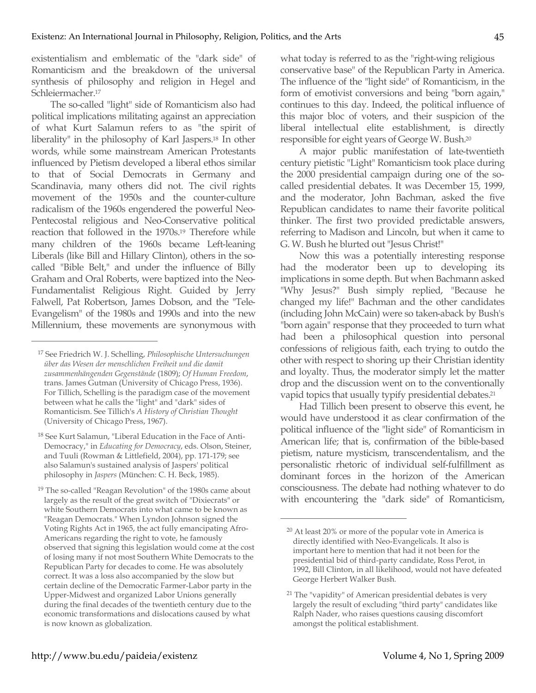existentialism and emblematic of the "dark side" of Romanticism and the breakdown of the universal synthesis of philosophy and religion in Hegel and Schleiermacher.17

The so-called "light" side of Romanticism also had political implications militating against an appreciation of what Kurt Salamun refers to as "the spirit of liberality" in the philosophy of Karl Jaspers.18 In other words, while some mainstream American Protestants influenced by Pietism developed a liberal ethos similar to that of Social Democrats in Germany and Scandinavia, many others did not. The civil rights movement of the 1950s and the counter-culture radicalism of the 1960s engendered the powerful Neo-Pentecostal religious and Neo-Conservative political reaction that followed in the 1970s.19 Therefore while many children of the 1960s became Left-leaning Liberals (like Bill and Hillary Clinton), others in the socalled "Bible Belt," and under the influence of Billy Graham and Oral Roberts, were baptized into the Neo-Fundamentalist Religious Right. Guided by Jerry Falwell, Pat Robertson, James Dobson, and the "Tele-Evangelism" of the 1980s and 1990s and into the new Millennium, these movements are synonymous with

 $\overline{a}$ 

what today is referred to as the "right-wing religious conservative base" of the Republican Party in America. The influence of the "light side" of Romanticism, in the form of emotivist conversions and being "born again," continues to this day. Indeed, the political influence of this major bloc of voters, and their suspicion of the liberal intellectual elite establishment, is directly responsible for eight years of George W. Bush.20

A major public manifestation of late-twentieth century pietistic "Light" Romanticism took place during the 2000 presidential campaign during one of the socalled presidential debates. It was December 15, 1999, and the moderator, John Bachman, asked the five Republican candidates to name their favorite political thinker. The first two provided predictable answers, referring to Madison and Lincoln, but when it came to G. W. Bush he blurted out "Jesus Christ!"

Now this was a potentially interesting response had the moderator been up to developing its implications in some depth. But when Bachmann asked "Why Jesus?" Bush simply replied, "Because he changed my life!" Bachman and the other candidates (including John McCain) were so taken-aback by Bush's "born again" response that they proceeded to turn what had been a philosophical question into personal confessions of religious faith, each trying to outdo the other with respect to shoring up their Christian identity and loyalty. Thus, the moderator simply let the matter drop and the discussion went on to the conventionally vapid topics that usually typify presidential debates.<sup>21</sup>

Had Tillich been present to observe this event, he would have understood it as clear confirmation of the political influence of the "light side" of Romanticism in American life; that is, confirmation of the bible-based pietism, nature mysticism, transcendentalism, and the personalistic rhetoric of individual self-fulfillment as dominant forces in the horizon of the American consciousness. The debate had nothing whatever to do with encountering the "dark side" of Romanticism,

<sup>17</sup> See Friedrich W. J. Schelling, *Philosophische Untersuchungen über das Wesen der menschlichen Freiheit und die damit zusammenhängenden Gegenstände* (1809); *Of Human Freedom*, trans. James Gutman (University of Chicago Press, 1936). For Tillich, Schelling is the paradigm case of the movement between what he calls the "light" and "dark" sides of Romanticism. See Tillich's *A History of Christian Thought* (University of Chicago Press, 1967).

<sup>18</sup> See Kurt Salamun, "Liberal Education in the Face of Anti-Democracy," in *Educating for Democracy*, eds. Olson, Steiner, and Tuuli (Rowman & Littlefield, 2004), pp. 171-179; see also Salamun's sustained analysis of Jaspers' political philosophy in *Jaspers* (München: C. H. Beck, 1985).

<sup>19</sup> The so-called "Reagan Revolution" of the 1980s came about largely as the result of the great switch of "Dixiecrats" or white Southern Democrats into what came to be known as "Reagan Democrats." When Lyndon Johnson signed the Voting Rights Act in 1965, the act fully emancipating Afro-Americans regarding the right to vote, he famously observed that signing this legislation would come at the cost of losing many if not most Southern White Democrats to the Republican Party for decades to come. He was absolutely correct. It was a loss also accompanied by the slow but certain decline of the Democratic Farmer-Labor party in the Upper-Midwest and organized Labor Unions generally during the final decades of the twentieth century due to the economic transformations and dislocations caused by what is now known as globalization.

<sup>20</sup> At least 20% or more of the popular vote in America is directly identified with Neo-Evangelicals. It also is important here to mention that had it not been for the presidential bid of third-party candidate, Ross Perot, in 1992, Bill Clinton, in all likelihood, would not have defeated George Herbert Walker Bush.

<sup>21</sup> The "vapidity" of American presidential debates is very largely the result of excluding "third party" candidates like Ralph Nader, who raises questions causing discomfort amongst the political establishment.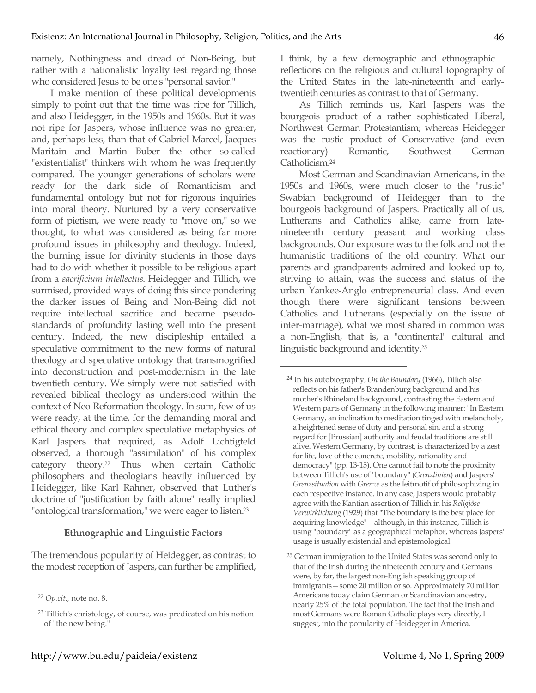namely, Nothingness and dread of Non-Being, but rather with a nationalistic loyalty test regarding those who considered Jesus to be one's "personal savior."

I make mention of these political developments simply to point out that the time was ripe for Tillich, and also Heidegger, in the 1950s and 1960s. But it was not ripe for Jaspers, whose influence was no greater, and, perhaps less, than that of Gabriel Marcel, Jacques Maritain and Martin Buber—the other so-called "existentialist" thinkers with whom he was frequently compared. The younger generations of scholars were ready for the dark side of Romanticism and fundamental ontology but not for rigorous inquiries into moral theory. Nurtured by a very conservative form of pietism, we were ready to "move on," so we thought, to what was considered as being far more profound issues in philosophy and theology. Indeed, the burning issue for divinity students in those days had to do with whether it possible to be religious apart from a *sacrificium intellectus*. Heidegger and Tillich, we surmised, provided ways of doing this since pondering the darker issues of Being and Non-Being did not require intellectual sacrifice and became pseudostandards of profundity lasting well into the present century. Indeed, the new discipleship entailed a speculative commitment to the new forms of natural theology and speculative ontology that transmogrified into deconstruction and post-modernism in the late twentieth century. We simply were not satisfied with revealed biblical theology as understood within the context of Neo-Reformation theology. In sum, few of us were ready, at the time, for the demanding moral and ethical theory and complex speculative metaphysics of Karl Jaspers that required, as Adolf Lichtigfeld observed, a thorough "assimilation" of his complex category theory.22 Thus when certain Catholic philosophers and theologians heavily influenced by Heidegger, like Karl Rahner, observed that Luther's doctrine of "justification by faith alone" really implied "ontological transformation," we were eager to listen.<sup>23</sup>

#### **Ethnographic and Linguistic Factors**

The tremendous popularity of Heidegger, as contrast to the modest reception of Jaspers, can further be amplified,

 $\overline{a}$ 

I think, by a few demographic and ethnographic reflections on the religious and cultural topography of the United States in the late-nineteenth and earlytwentieth centuries as contrast to that of Germany.

As Tillich reminds us, Karl Jaspers was the bourgeois product of a rather sophisticated Liberal, Northwest German Protestantism; whereas Heidegger was the rustic product of Conservative (and even reactionary) Romantic, Southwest German Catholicism.24

Most German and Scandinavian Americans, in the 1950s and 1960s, were much closer to the "rustic" Swabian background of Heidegger than to the bourgeois background of Jaspers. Practically all of us, Lutherans and Catholics alike, came from latenineteenth century peasant and working class backgrounds. Our exposure was to the folk and not the humanistic traditions of the old country. What our parents and grandparents admired and looked up to, striving to attain, was the success and status of the urban Yankee-Anglo entrepreneurial class. And even though there were significant tensions between Catholics and Lutherans (especially on the issue of inter-marriage), what we most shared in common was a non-English, that is, a "continental" cultural and linguistic background and identity.25

<sup>22</sup> *Op.cit.,* note no. 8.

<sup>23</sup> Tillich's christology, of course, was predicated on his notion of "the new being."

<sup>24</sup> In his autobiography, *On the Boundary* (1966), Tillich also reflects on his father's Brandenburg background and his mother's Rhineland background, contrasting the Eastern and Western parts of Germany in the following manner: "In Eastern Germany, an inclination to meditation tinged with melancholy, a heightened sense of duty and personal sin, and a strong regard for [Prussian] authority and feudal traditions are still alive. Western Germany, by contrast, is characterized by a zest for life, love of the concrete, mobility, rationality and democracy" (pp. 13-15). One cannot fail to note the proximity between Tillich's use of "boundary" (*Grenzlinien*) and Jaspers' *Grenzsituation* with *Grenze* as the leitmotif of philosophizing in each respective instance. In any case, Jaspers would probably agree with the Kantian assertion of Tillich in his *Religiöse Verwirklichung* (1929) that "The boundary is the best place for acquiring knowledge"—although, in this instance, Tillich is using "boundary" as a geographical metaphor, whereas Jaspers' usage is usually existential and epistemological.

<sup>25</sup> German immigration to the United States was second only to that of the Irish during the nineteenth century and Germans were, by far, the largest non-English speaking group of immigrants—some 20 million or so. Approximately 70 million Americans today claim German or Scandinavian ancestry, nearly 25% of the total population. The fact that the Irish and most Germans were Roman Catholic plays very directly, I suggest, into the popularity of Heidegger in America.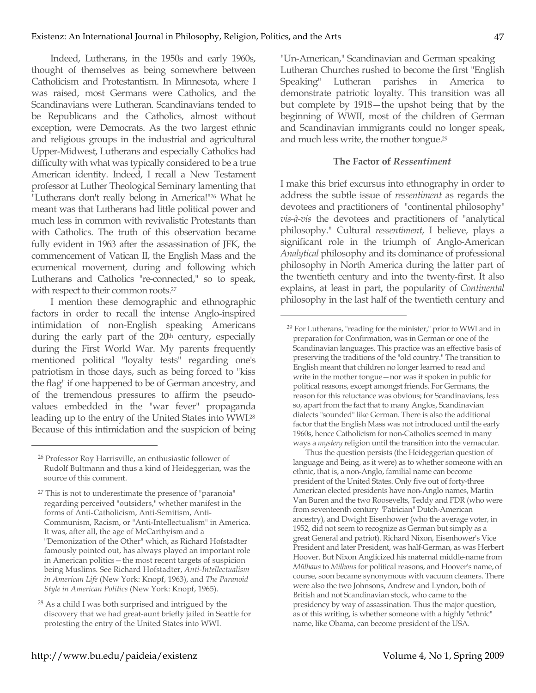Indeed, Lutherans, in the 1950s and early 1960s, thought of themselves as being somewhere between Catholicism and Protestantism. In Minnesota, where I was raised, most Germans were Catholics, and the Scandinavians were Lutheran. Scandinavians tended to be Republicans and the Catholics, almost without exception, were Democrats. As the two largest ethnic and religious groups in the industrial and agricultural Upper-Midwest, Lutherans and especially Catholics had difficulty with what was typically considered to be a true American identity. Indeed, I recall a New Testament professor at Luther Theological Seminary lamenting that "Lutherans don't really belong in America!"<sup>26</sup> What he meant was that Lutherans had little political power and much less in common with revivalistic Protestants than with Catholics. The truth of this observation became fully evident in 1963 after the assassination of JFK, the commencement of Vatican II, the English Mass and the ecumenical movement, during and following which Lutherans and Catholics "re-connected," so to speak, with respect to their common roots.<sup>27</sup>

I mention these demographic and ethnographic factors in order to recall the intense Anglo-inspired intimidation of non-English speaking Americans during the early part of the 20<sup>th</sup> century, especially during the First World War. My parents frequently mentioned political "loyalty tests" regarding one's patriotism in those days, such as being forced to "kiss the flag" if one happened to be of German ancestry, and of the tremendous pressures to affirm the pseudovalues embedded in the "war fever" propaganda leading up to the entry of the United States into WWI.28 Because of this intimidation and the suspicion of being

 $\overline{a}$ 

"Un-American," Scandinavian and German speaking Lutheran Churches rushed to become the first "English Speaking" Lutheran parishes in America to demonstrate patriotic loyalty. This transition was all but complete by 1918—the upshot being that by the beginning of WWII, most of the children of German and Scandinavian immigrants could no longer speak, and much less write, the mother tongue.29

### **The Factor of** *Ressentiment*

I make this brief excursus into ethnography in order to address the subtle issue of *ressentiment* as regards the devotees and practitioners of "continental philosophy" *vis-à-vis* the devotees and practitioners of "analytical philosophy." Cultural *ressentiment*, I believe, plays a significant role in the triumph of Anglo-American *Analytical* philosophy and its dominance of professional philosophy in North America during the latter part of the twentieth century and into the twenty-first. It also explains, at least in part, the popularity of *Continental* philosophy in the last half of the twentieth century and

 $\overline{a}$ 

Thus the question persists (the Heideggerian question of language and Being, as it were) as to whether someone with an ethnic, that is, a non-Anglo, familial name can become president of the United States. Only five out of forty-three American elected presidents have non-Anglo names, Martin Van Buren and the two Roosevelts, Teddy and FDR (who were from seventeenth century "Patrician" Dutch-American ancestry), and Dwight Eisenhower (who the average voter, in 1952, did not seem to recognize as German but simply as a great General and patriot). Richard Nixon, Eisenhower's Vice President and later President, was half-German, as was Herbert Hoover. But Nixon Anglicized his maternal middle-name from *Mülhaus* to *Milhous* for political reasons, and Hoover's name, of course, soon became synonymous with vacuum cleaners. There were also the two Johnsons, Andrew and Lyndon, both of British and not Scandinavian stock, who came to the presidency by way of assassination. Thus the major question, as of this writing, is whether someone with a highly "ethnic" name, like Obama, can become president of the USA.

<sup>26</sup> Professor Roy Harrisville, an enthusiastic follower of Rudolf Bultmann and thus a kind of Heideggerian, was the source of this comment.

<sup>27</sup> This is not to underestimate the presence of "paranoia" regarding perceived "outsiders," whether manifest in the forms of Anti-Catholicism, Anti-Semitism, Anti-Communism, Racism, or "Anti-Intellectualism" in America. It was, after all, the age of McCarthyism and a "Demonization of the Other" which, as Richard Hofstadter famously pointed out, has always played an important role in American politics—the most recent targets of suspicion being Muslims. See Richard Hofstadter, *Anti-Intellectualism in American Life* (New York: Knopf, 1963), and *The Paranoid Style in American Politics* (New York: Knopf, 1965).

<sup>28</sup> As a child I was both surprised and intrigued by the discovery that we had great-aunt briefly jailed in Seattle for protesting the entry of the United States into WWI.

<sup>29</sup> For Lutherans, "reading for the minister," prior to WWI and in preparation for Confirmation, was in German or one of the Scandinavian languages. This practice was an effective basis of preserving the traditions of the "old country." The transition to English meant that children no longer learned to read and write in the mother tongue—nor was it spoken in public for political reasons, except amongst friends. For Germans, the reason for this reluctance was obvious; for Scandinavians, less so, apart from the fact that to many Anglos, Scandinavian dialects "sounded" like German. There is also the additional factor that the English Mass was not introduced until the early 1960s, hence Catholicism for non-Catholics seemed in many ways a *mystery* religion until the transition into the vernacular.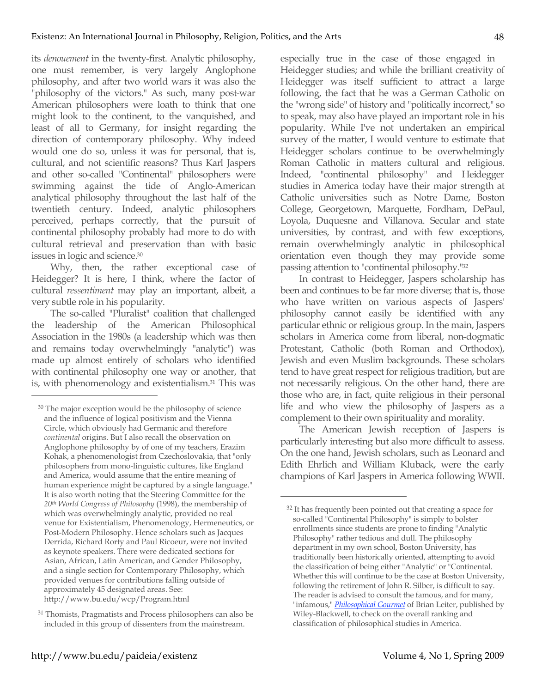its *denouement* in the twenty-first. Analytic philosophy, one must remember, is very largely Anglophone philosophy, and after two world wars it was also the "philosophy of the victors." As such, many post-war American philosophers were loath to think that one might look to the continent, to the vanquished, and least of all to Germany, for insight regarding the direction of contemporary philosophy. Why indeed would one do so, unless it was for personal, that is, cultural, and not scientific reasons? Thus Karl Jaspers and other so-called "Continental" philosophers were swimming against the tide of Anglo-American analytical philosophy throughout the last half of the twentieth century. Indeed, analytic philosophers perceived, perhaps correctly, that the pursuit of continental philosophy probably had more to do with cultural retrieval and preservation than with basic issues in logic and science.30

Why, then, the rather exceptional case of Heidegger? It is here, I think, where the factor of cultural *ressentiment* may play an important, albeit, a very subtle role in his popularity.

The so-called "Pluralist" coalition that challenged the leadership of the American Philosophical Association in the 1980s (a leadership which was then and remains today overwhelmingly "analytic") was made up almost entirely of scholars who identified with continental philosophy one way or another, that is, with phenomenology and existentialism.31 This was

 $\overline{a}$ 

especially true in the case of those engaged in Heidegger studies; and while the brilliant creativity of Heidegger was itself sufficient to attract a large following, the fact that he was a German Catholic on the "wrong side" of history and "politically incorrect," so to speak, may also have played an important role in his popularity. While I've not undertaken an empirical survey of the matter, I would venture to estimate that Heidegger scholars continue to be overwhelmingly Roman Catholic in matters cultural and religious. Indeed, "continental philosophy" and Heidegger studies in America today have their major strength at Catholic universities such as Notre Dame, Boston College, Georgetown, Marquette, Fordham, DePaul, Loyola, Duquesne and Villanova. Secular and state universities, by contrast, and with few exceptions, remain overwhelmingly analytic in philosophical orientation even though they may provide some passing attention to "continental philosophy."32

In contrast to Heidegger, Jaspers scholarship has been and continues to be far more diverse; that is, those who have written on various aspects of Jaspers' philosophy cannot easily be identified with any particular ethnic or religious group. In the main, Jaspers scholars in America come from liberal, non-dogmatic Protestant, Catholic (both Roman and Orthodox), Jewish and even Muslim backgrounds. These scholars tend to have great respect for religious tradition, but are not necessarily religious. On the other hand, there are those who are, in fact, quite religious in their personal life and who view the philosophy of Jaspers as a complement to their own spirituality and morality.

The American Jewish reception of Jaspers is particularly interesting but also more difficult to assess. On the one hand, Jewish scholars, such as Leonard and Edith Ehrlich and William Kluback, were the early champions of Karl Jaspers in America following WWII.

<sup>&</sup>lt;sup>30</sup> The major exception would be the philosophy of science and the influence of logical positivism and the Vienna Circle, which obviously had Germanic and therefore *continental* origins. But I also recall the observation on Anglophone philosophy by of one of my teachers, Erazim Kohak, a phenomenologist from Czechoslovakia, that "only philosophers from mono-linguistic cultures, like England and America, would assume that the entire meaning of human experience might be captured by a single language." It is also worth noting that the Steering Committee for the *20th World Congress of Philosophy* (1998), the membership of which was overwhelmingly analytic, provided no real venue for Existentialism, Phenomenology, Hermeneutics, or Post-Modern Philosophy. Hence scholars such as Jacques Derrida, Richard Rorty and Paul Ricoeur, were not invited as keynote speakers. There were dedicated sections for Asian, African, Latin American, and Gender Philosophy, and a single section for Contemporary Philosophy, which provided venues for contributions falling outside of approximately 45 designated areas. See: http://www.bu.edu/wcp/Program.html

<sup>&</sup>lt;sup>31</sup> Thomists, Pragmatists and Process philosophers can also be included in this group of dissenters from the mainstream.

<sup>32</sup> It has frequently been pointed out that creating a space for so-called "Continental Philosophy" is simply to bolster enrollments since students are prone to finding "Analytic Philosophy" rather tedious and dull. The philosophy department in my own school, Boston University, has traditionally been historically oriented, attempting to avoid the classification of being either "Analytic" or "Continental. Whether this will continue to be the case at Boston University, following the retirement of John R. Silber, is difficult to say. The reader is advised to consult the famous, and for many, "infamous," *Philosophical Gourmet* of Brian Leiter, published by Wiley-Blackwell, to check on the overall ranking and classification of philosophical studies in America.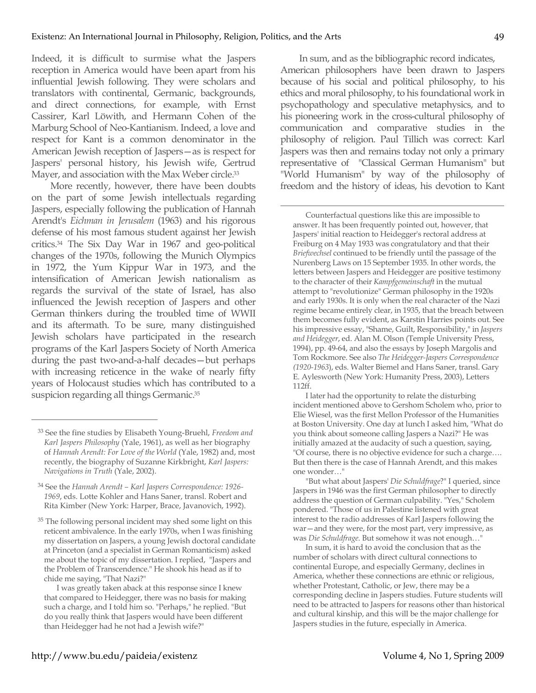Indeed, it is difficult to surmise what the Jaspers reception in America would have been apart from his influential Jewish following. They were scholars and translators with continental, Germanic, backgrounds, and direct connections, for example, with Ernst Cassirer, Karl Löwith, and Hermann Cohen of the Marburg School of Neo-Kantianism. Indeed, a love and respect for Kant is a common denominator in the American Jewish reception of Jaspers—as is respect for Jaspers' personal history, his Jewish wife, Gertrud Mayer, and association with the Max Weber circle.<sup>33</sup>

More recently, however, there have been doubts on the part of some Jewish intellectuals regarding Jaspers, especially following the publication of Hannah Arendt's *Eichman in Jerusalem* (1963) and his rigorous defense of his most famous student against her Jewish critics.34 The Six Day War in 1967 and geo-political changes of the 1970s, following the Munich Olympics in 1972, the Yum Kippur War in 1973, and the intensification of American Jewish nationalism as regards the survival of the state of Israel, has also influenced the Jewish reception of Jaspers and other German thinkers during the troubled time of WWII and its aftermath. To be sure, many distinguished Jewish scholars have participated in the research programs of the Karl Jaspers Society of North America during the past two-and-a-half decades—but perhaps with increasing reticence in the wake of nearly fifty years of Holocaust studies which has contributed to a suspicion regarding all things Germanic.<sup>35</sup>

 $\overline{a}$ 

<sup>35</sup> The following personal incident may shed some light on this reticent ambivalence. In the early 1970s, when I was finishing my dissertation on Jaspers, a young Jewish doctoral candidate at Princeton (and a specialist in German Romanticism) asked me about the topic of my dissertation. I replied, "Jaspers and the Problem of Transcendence." He shook his head as if to chide me saying, "That Nazi?"

I was greatly taken aback at this response since I knew that compared to Heidegger, there was no basis for making such a charge, and I told him so. "Perhaps," he replied. "But do you really think that Jaspers would have been different than Heidegger had he not had a Jewish wife?"

In sum, and as the bibliographic record indicates, American philosophers have been drawn to Jaspers because of his social and political philosophy, to his ethics and moral philosophy, to his foundational work in psychopathology and speculative metaphysics, and to his pioneering work in the cross-cultural philosophy of communication and comparative studies in the philosophy of religion. Paul Tillich was correct: Karl Jaspers was then and remains today not only a primary representative of "Classical German Humanism" but "World Humanism" by way of the philosophy of freedom and the history of ideas, his devotion to Kant

 $\overline{a}$ 

Counterfactual questions like this are impossible to answer. It has been frequently pointed out, however, that Jaspers' initial reaction to Heidegger's rectoral address at Freiburg on 4 May 1933 was congratulatory and that their *Briefwechsel* continued to be friendly until the passage of the Nurenberg Laws on 15 September 1935. In other words, the letters between Jaspers and Heidegger are positive testimony to the character of their *Kampfgemeinschaft* in the mutual attempt to "revolutionize" German philosophy in the 1920s and early 1930s. It is only when the real character of the Nazi regime became entirely clear, in 1935, that the breach between them becomes fully evident, as Karstin Harries points out. See his impressive essay, "Shame, Guilt, Responsibility," in *Jaspers and Heidegger*, ed. Alan M. Olson (Temple University Press, 1994), pp. 49-64, and also the essays by Joseph Margolis and Tom Rockmore. See also *The Heidegger-Jaspers Correspondence (1920-1963*), eds. Walter Biemel and Hans Saner, transl. Gary E. Aylesworth (New York: Humanity Press, 2003), Letters 112ff.

I later had the opportunity to relate the disturbing incident mentioned above to Gershom Scholem who, prior to Elie Wiesel, was the first Mellon Professor of the Humanities at Boston University. One day at lunch I asked him, "What do you think about someone calling Jaspers a Nazi?" He was initially amazed at the audacity of such a question, saying, "Of course, there is no objective evidence for such a charge…. But then there is the case of Hannah Arendt, and this makes one wonder…"

"But what about Jaspers' *Die Schuldfrage*?" I queried, since Jaspers in 1946 was the first German philosopher to directly address the question of German culpability. "Yes," Scholem pondered. "Those of us in Palestine listened with great interest to the radio addresses of Karl Jaspers following the war—and they were, for the most part, very impressive, as was *Die Schuldfrage*. But somehow it was not enough…"

In sum, it is hard to avoid the conclusion that as the number of scholars with direct cultural connections to continental Europe, and especially Germany, declines in America, whether these connections are ethnic or religious, whether Protestant, Catholic, or Jew, there may be a corresponding decline in Jaspers studies. Future students will need to be attracted to Jaspers for reasons other than historical and cultural kinship, and this will be the major challenge for Jaspers studies in the future, especially in America.

<sup>33</sup> See the fine studies by Elisabeth Young-Bruehl, *Freedom and Karl Jaspers Philosophy* (Yale, 1961), as well as her biography of *Hannah Arendt: For Love of the World* (Yale, 1982) and, most recently, the biography of Suzanne Kirkbright, *Karl Jaspers: Navigations in Truth* (Yale, 2002).

<sup>34</sup> See the *Hannah Arendt – Karl Jaspers Correspondence: 1926- 1969*, eds. Lotte Kohler and Hans Saner, transl. Robert and Rita Kimber (New York: Harper, Brace, Javanovich, 1992).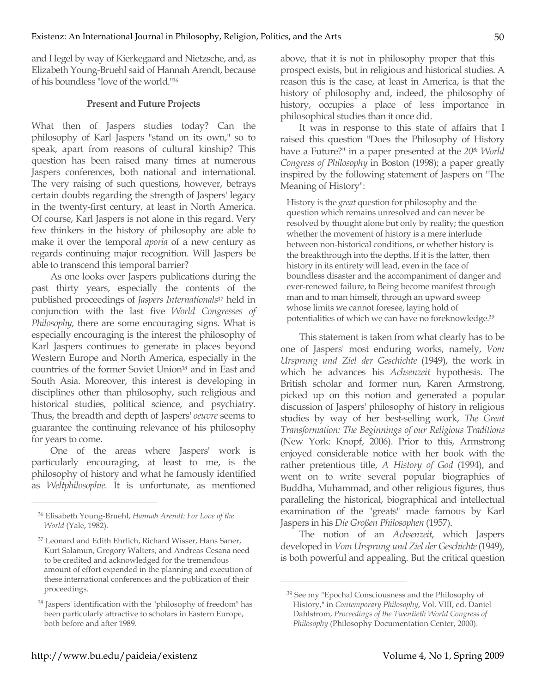and Hegel by way of Kierkegaard and Nietzsche, and, as Elizabeth Young-Bruehl said of Hannah Arendt, because of his boundless "love of the world."36

## **Present and Future Projects**

What then of Jaspers studies today? Can the philosophy of Karl Jaspers "stand on its own," so to speak, apart from reasons of cultural kinship? This question has been raised many times at numerous Jaspers conferences, both national and international. The very raising of such questions, however, betrays certain doubts regarding the strength of Jaspers' legacy in the twenty-first century, at least in North America. Of course, Karl Jaspers is not alone in this regard. Very few thinkers in the history of philosophy are able to make it over the temporal *aporia* of a new century as regards continuing major recognition. Will Jaspers be able to transcend this temporal barrier?

As one looks over Jaspers publications during the past thirty years, especially the contents of the published proceedings of *Jaspers Internationals37* held in conjunction with the last five *World Congresses of Philosophy*, there are some encouraging signs. What is especially encouraging is the interest the philosophy of Karl Jaspers continues to generate in places beyond Western Europe and North America, especially in the countries of the former Soviet Union<sup>38</sup> and in East and South Asia. Moreover, this interest is developing in disciplines other than philosophy, such religious and historical studies, political science, and psychiatry. Thus, the breadth and depth of Jaspers' *oeuvre* seems to guarantee the continuing relevance of his philosophy for years to come.

One of the areas where Jaspers' work is particularly encouraging, at least to me, is the philosophy of history and what he famously identified as *Weltphilosophie.* It is unfortunate, as mentioned

 $\overline{a}$ 

above, that it is not in philosophy proper that this prospect exists, but in religious and historical studies. A reason this is the case, at least in America, is that the history of philosophy and, indeed, the philosophy of history, occupies a place of less importance in philosophical studies than it once did.

It was in response to this state of affairs that I raised this question "Does the Philosophy of History have a Future?" in a paper presented at the 20th World *Congress of Philosophy* in Boston (1998); a paper greatly inspired by the following statement of Jaspers on "The Meaning of History":

History is the *great* question for philosophy and the question which remains unresolved and can never be resolved by thought alone but only by reality; the question whether the movement of history is a mere interlude between non-historical conditions, or whether history is the breakthrough into the depths. If it is the latter, then history in its entirety will lead, even in the face of boundless disaster and the accompaniment of danger and ever-renewed failure, to Being become manifest through man and to man himself, through an upward sweep whose limits we cannot foresee, laying hold of potentialities of which we can have no foreknowledge.39

This statement is taken from what clearly has to be one of Jaspers' most enduring works, namely, *Vom Ursprung und Ziel der Geschichte* (1949), the work in which he advances his *Achsenzeit* hypothesis. The British scholar and former nun, Karen Armstrong, picked up on this notion and generated a popular discussion of Jaspers' philosophy of history in religious studies by way of her best-selling work, *The Great Transformation: The Beginnings of our Religious Traditions* (New York: Knopf, 2006). Prior to this, Armstrong enjoyed considerable notice with her book with the rather pretentious title, *A History of God* (1994), and went on to write several popular biographies of Buddha, Muhammad, and other religious figures, thus paralleling the historical, biographical and intellectual examination of the "greats" made famous by Karl Jaspers in his *Die Großen Philosophen* (1957).

The notion of an *Achsenzeit*, which Jaspers developed in *Vom Ursprung und Ziel der Geschichte* (1949), is both powerful and appealing. But the critical question

<sup>36</sup> Elisabeth Young-Bruehl, *Hannah Arendt: For Love of the World* (Yale, 1982).

<sup>37</sup> Leonard and Edith Ehrlich, Richard Wisser, Hans Saner, Kurt Salamun, Gregory Walters, and Andreas Cesana need to be credited and acknowledged for the tremendous amount of effort expended in the planning and execution of these international conferences and the publication of their proceedings.

<sup>38</sup> Jaspers' identification with the "philosophy of freedom" has been particularly attractive to scholars in Eastern Europe, both before and after 1989.

<sup>39</sup> See my "Epochal Consciousness and the Philosophy of History," in *Contemporary Philosophy*, Vol. VIII, ed. Daniel Dahlstrom, *Proceedings of the Twentieth World Congress of Philosophy* (Philosophy Documentation Center, 2000).